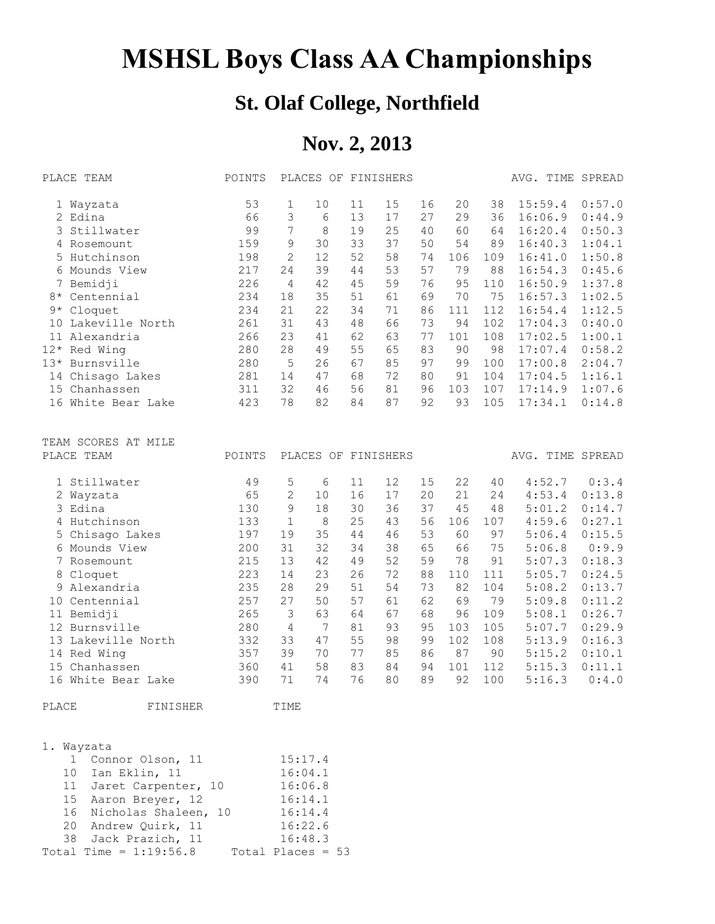## **MSHSL Boys Class AA Championships**

## **St. Olaf College, Northfield**

## **Nov. 2, 2013**

|            | PLACE TEAM          | POINTS |                |         |    | PLACES OF FINISHERS |    |     |     | AVG. TIME SPREAD |        |
|------------|---------------------|--------|----------------|---------|----|---------------------|----|-----|-----|------------------|--------|
|            | 1 Wayzata           | 53     | 1              | 10      | 11 | 15                  | 16 | 20  | 38  | 15:59.4          | 0:57.0 |
|            | 2 Edina             | 66     | 3              | 6       | 13 | 17                  | 27 | 29  | 36  | 16:06.9          | 0:44.9 |
|            | 3 Stillwater        | 99     | 7              | $\,8\,$ | 19 | 25                  | 40 | 60  | 64  | 16:20.4          | 0:50.3 |
|            | 4 Rosemount         | 159    | 9              | 30      | 33 | 37                  | 50 | 54  | 89  | 16:40.3          | 1:04.1 |
|            | 5 Hutchinson        | 198    | $\overline{2}$ | 12      | 52 | 58                  | 74 | 106 | 109 | 16:41.0          | 1:50.8 |
|            | 6 Mounds View       | 217    | 24             | 39      | 44 | 53                  | 57 | 79  | 88  | 16:54.3          | 0:45.6 |
|            | 7 Bemidji           | 226    | 4              | 42      | 45 | 59                  | 76 | 95  | 110 | 16:50.9          | 1:37.8 |
| $8\,\star$ | Centennial          | 234    | 18             | 35      | 51 | 61                  | 69 | 70  | 75  | 16:57.3          | 1:02.5 |
| $9*$       | Cloquet             | 234    | 21             | 22      | 34 | 71                  | 86 | 111 | 112 | 16:54.4          | 1:12.5 |
|            | 10 Lakeville North  | 261    | 31             | 43      | 48 | 66                  | 73 | 94  | 102 | 17:04.3          | 0:40.0 |
|            | 11 Alexandria       | 266    | 23             | 41      | 62 | 63                  | 77 | 101 | 108 | 17:02.5          | 1:00.1 |
| $12*$      | Red Wing            | 280    | 28             | 49      | 55 | 65                  | 83 | 90  | 98  | 17:07.4          | 0:58.2 |
|            | 13* Burnsville      | 280    | 5              | 26      | 67 | 85                  | 97 | 99  | 100 | 17:00.8          | 2:04.7 |
|            | 14 Chisago Lakes    | 281    | 14             | 47      | 68 | 72                  | 80 | 91  | 104 | 17:04.5          | 1:16.1 |
|            | 15 Chanhassen       | 311    | 32             | 46      | 56 | 81                  | 96 | 103 | 107 | 17:14.9          | 1:07.6 |
|            | 16 White Bear Lake  | 423    | 78             | 82      | 84 | 87                  | 92 | 93  | 105 | 17:34.1          | 0:14.8 |
|            | TEAM SCORES AT MILE |        |                |         |    |                     |    |     |     |                  |        |
|            | PLACE TEAM          | POINTS |                |         |    | PLACES OF FINISHERS |    |     |     | AVG. TIME SPREAD |        |
|            | 1 Stillwater        | 49     | 5              | 6       | 11 | 12                  | 15 | 22  | 40  | 4:52.7           | 0:3.4  |
|            | 2 Wayzata           | 65     | $\overline{2}$ | 10      | 16 | 17                  | 20 | 21  | 24  | 4:53.4           | 0:13.8 |
|            | 3 Edina             | 130    | 9              | 18      | 30 | 36                  | 37 | 45  | 48  | 5:01.2           | 0:14.7 |
|            | 4 Hutchinson        | 133    | $\mathbf{1}$   | 8       | 25 | 43                  | 56 | 106 | 107 | 4:59.6           | 0:27.1 |
|            | 5 Chisago Lakes     | 197    | 19             | 35      | 44 | 46                  | 53 | 60  | 97  | 5:06.4           | 0:15.5 |
|            | 6 Mounds View       | 200    | 31             | 32      | 34 | 38                  | 65 | 66  | 75  | 5:06.8           | 0:9.9  |
|            | 7 Rosemount         | 215    | 13             | 42      | 49 | 52                  | 59 | 78  | 91  | 5:07.3           | 0:18.3 |
| 8          | Cloquet             | 223    | 14             | 23      | 26 | 72                  | 88 | 110 | 111 | 5:05.7           | 0:24.5 |
|            | 9 Alexandria        | 235    | 28             | 29      | 51 | 54                  | 73 | 82  | 104 | 5:08.2           | 0:13.7 |
| 10         | Centennial          | 257    | 27             | 50      | 57 | 61                  | 62 | 69  | 79  | 5:09.8           | 0:11.2 |
|            | 11 Bemidji          | 265    | 3              | 63      | 64 | 67                  | 68 | 96  | 109 | 5:08.1           | 0:26.7 |
|            | 12 Burnsville       | 280    | 4              | 7       | 81 | 93                  | 95 | 103 | 105 | 5:07.7           | 0:29.9 |
|            | 13 Lakeville North  | 332    | 33             | 47      | 55 | 98                  | 99 | 102 | 108 | 5:13.9           | 0:16.3 |
|            | 14 Red Wing         | 357    | 39             | 70      | 77 | 85                  | 86 | 87  | 90  | 5:15.2           | 0:10.1 |
|            | 15 Chanhassen       | 360    | 41             | 58      | 83 | 84                  | 94 | 101 | 112 | 5:15.3           | 0:11.1 |
|            | 16 White Bear Lake  | 390    | 71             | 74      | 76 | 80                  | 89 | 92  | 100 | 5:16.3           | 0:4.0  |
| PLACE      | FINISHER            |        | TIME           |         |    |                     |    |     |     |                  |        |

| 1. Wayzata |                          |                     |  |  |  |
|------------|--------------------------|---------------------|--|--|--|
|            | 1 Connor Olson, 11       | 15:17.4             |  |  |  |
|            | 10 Ian Eklin, 11         | 16:04.1             |  |  |  |
|            | 11 Jaret Carpenter, 10   | 16:06.8             |  |  |  |
|            | 15 Aaron Breyer, 12      | 16:14.1             |  |  |  |
|            | 16 Nicholas Shaleen, 10  | 16:14.4             |  |  |  |
|            | 20 Andrew Quirk, 11      | 16:22.6             |  |  |  |
|            | 38 Jack Prazich, 11      | 16:48.3             |  |  |  |
|            | Total Time = $1:19:56.8$ | Total Places = $53$ |  |  |  |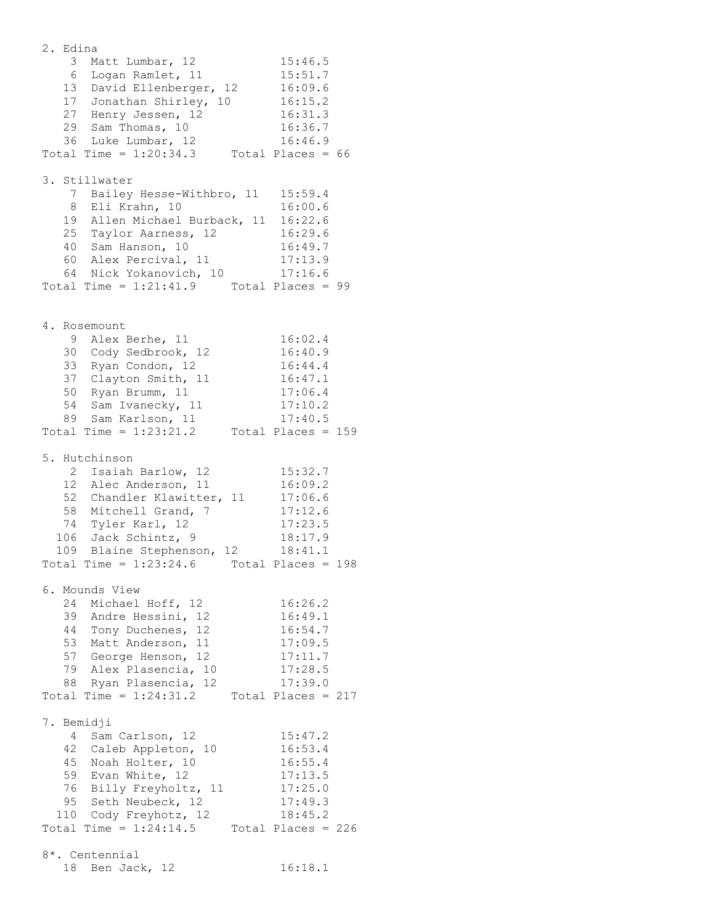2. Edina 3 Matt Lumbar, 12 15:46.5 6 Logan Ramlet, 11 15:51.7 13 David Ellenberger, 12 16:09.6 17 Jonathan Shirley, 10 16:15.2 27 Henry Jessen, 12 16:31.3 29 Sam Thomas, 10 16:36.7 36 Luke Lumbar, 12 16:46.9 Total Time =  $1:20:34.3$  Total Places =  $66$ 3. Stillwater 7 Bailey Hesse-Withbro, 11 15:59.4 8 Eli Krahn, 10 16:00.6 19 Allen Michael Burback, 11 16:22.6 25 Taylor Aarness, 12 16:29.6 40 Sam Hanson, 10 16:49.7 60 Alex Percival, 11 17:13.9 64 Nick Yokanovich, 10 17:16.6 Total Time =  $1:21:41.9$  Total Places = 99 4. Rosemount 9 Alex Berhe, 11 16:02.4 30 Cody Sedbrook, 12 16:40.9 33 Ryan Condon, 12 16:44.4 37 Clayton Smith, 11 16:47.1 50 Ryan Brumm, 11 17:06.4 54 Sam Ivanecky, 11 17:10.2 89 Sam Karlson, 11 17:40.5 Total Time =  $1:23:21.2$  Total Places = 159 5. Hutchinson 2 Isaiah Barlow, 12 15:32.7 12 Alec Anderson, 11 16:09.2 52 Chandler Klawitter, 11 17:06.6 58 Mitchell Grand, 7 17:12.6 74 Tyler Karl, 12 17:23.5 106 Jack Schintz, 9 18:17.9 109 Blaine Stephenson, 12 18:41.1 Total Time =  $1:23:24.6$  Total Places = 198 6. Mounds View 24 Michael Hoff, 12 16:26.2 39 Andre Hessini, 12 16:49.1 44 Tony Duchenes, 12 16:54.7 53 Matt Anderson, 11 17:09.5 57 George Henson, 12 17:11.7 79 Alex Plasencia, 10 17:28.5 88 Ryan Plasencia, 12 17:39.0 Total Time =  $1:24:31.2$  Total Places =  $217$ 7. Bemidji 4 Sam Carlson, 12 15:47.2 42 Caleb Appleton, 10 16:53.4 45 Noah Holter, 10 16:55.4 59 Evan White, 12 17:13.5 76 Billy Freyholtz, 11 17:25.0 95 Seth Neubeck, 12 17:49.3 110 Cody Freyhotz, 12 18:45.2 Total Time =  $1:24:14.5$  Total Places = 226 8\*. Centennial 18 Ben Jack, 12 16:18.1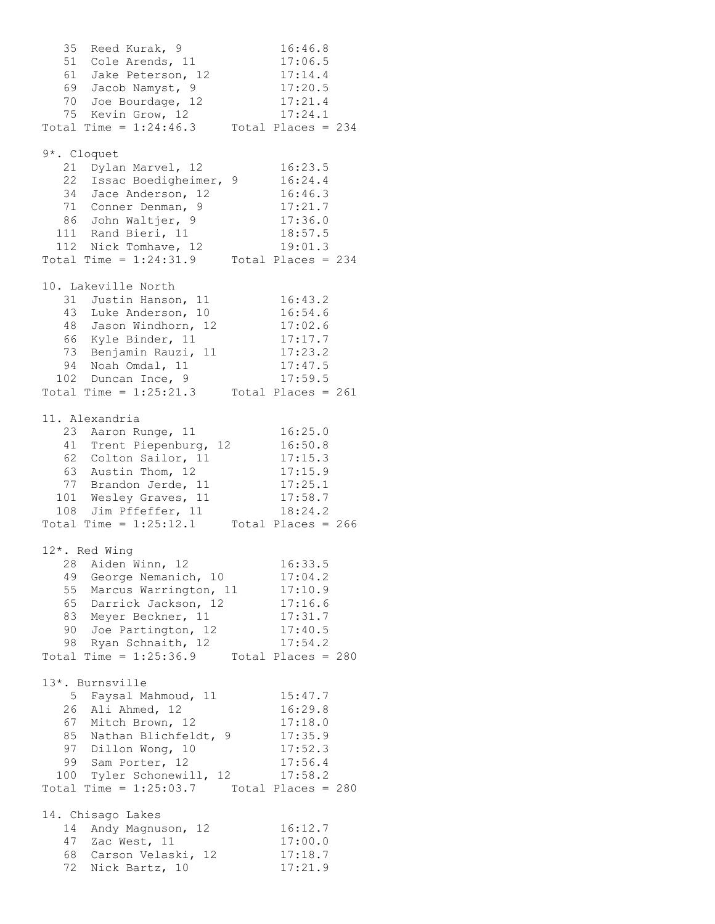35 Reed Kurak, 9 16:46.8 51 Cole Arends, 11 17:06.5 61 Jake Peterson, 12 17:14.4 69 Jacob Namyst, 9 17:20.5 70 Joe Bourdage, 12 17:21.4 75 Kevin Grow, 12 17:24.1 Total Time =  $1:24:46.3$  Total Places =  $234$ 9\*. Cloquet 21 Dylan Marvel, 12 16:23.5 22 Issac Boedigheimer, 9 16:24.4 34 Jace Anderson, 12 16:46.3 71 Conner Denman, 9 17:21.7 86 John Waltjer, 9 17:36.0 111 Rand Bieri, 11 18:57.5 112 Nick Tomhave, 12 19:01.3 Total Time =  $1:24:31.9$  Total Places =  $234$ 10. Lakeville North 31 Justin Hanson, 11 16:43.2 43 Luke Anderson, 10 16:54.6 48 Jason Windhorn, 12 17:02.6 66 Kyle Binder, 11 17:17.7 73 Benjamin Rauzi, 11 17:23.2 94 Noah Omdal, 11 17:47.5 102 Duncan Ince, 9 17:59.5 Total Time =  $1:25:21.3$  Total Places =  $261$ 11. Alexandria 23 Aaron Runge, 11 16:25.0 41 Trent Piepenburg, 12 16:50.8 62 Colton Sailor, 11 17:15.3 63 Austin Thom, 12 17:15.9 77 Brandon Jerde, 11 17:25.1 101 Wesley Graves, 11 17:58.7 108 Jim Pffeffer, 11 18:24.2 Total Time =  $1:25:12.1$  Total Places = 266 12\*. Red Wing 28 Aiden Winn, 12 16:33.5 49 George Nemanich, 10 17:04.2 55 Marcus Warrington, 11 17:10.9 65 Darrick Jackson, 12 17:16.6 83 Meyer Beckner, 11 17:31.7 90 Joe Partington, 12 17:40.5 98 Ryan Schnaith, 12 17:54.2 Total Time = 1:25:36.9 Total Places = 280 13\*. Burnsville 5 Faysal Mahmoud, 11 15:47.7 26 Ali Ahmed, 12 16:29.8 67 Mitch Brown, 12 17:18.0 85 Nathan Blichfeldt, 9 17:35.9 97 Dillon Wong, 10 17:52.3 99 Sam Porter, 12 17:56.4 100 Tyler Schonewill, 12 17:58.2 Total Time =  $1:25:03.7$  Total Places = 280 14. Chisago Lakes 14 Andy Magnuson, 12 16:12.7 47 Zac West, 11 17:00.0 68 Carson Velaski, 12 17:18.7 72 Nick Bartz, 10 17:21.9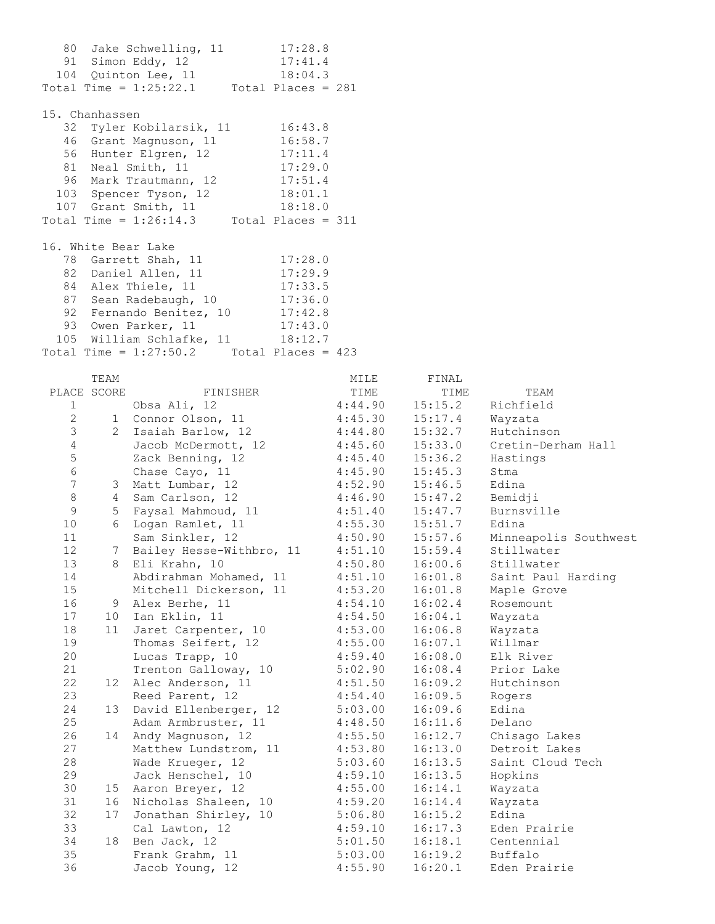91 Simon Eddy, 12 17:41.4 104 Quinton Lee, 11 18:04.3 Total Time =  $1:25:22.1$  Total Places =  $281$ 15. Chanhassen 32 Tyler Kobilarsik, 11 16:43.8 46 Grant Magnuson, 11 16:58.7 56 Hunter Elgren, 12 17:11.4 81 Neal Smith, 11 17:29.0 96 Mark Trautmann, 12 17:51.4 103 Spencer Tyson, 12 18:01.1 107 Grant Smith, 11 18:18.0 Total Time =  $1:26:14.3$  Total Places = 311 16. White Bear Lake 78 Garrett Shah, 11 17:28.0 82 Daniel Allen, 11 17:29.9 84 Alex Thiele, 11 17:33.5 87 Sean Radebaugh, 10 17:36.0 92 Fernando Benitez, 10 17:42.8 93 Owen Parker, 11 17:43.0 105 William Schlafke, 11 18:12.7 Total Time =  $1:27:50.2$  Total Places =  $423$ 

80 Jake Schwelling, 11 17:28.8

|                | TEAM            |                          | MILE    | FINAL   |                       |
|----------------|-----------------|--------------------------|---------|---------|-----------------------|
|                | PLACE SCORE     | FINISHER                 | TIME    | TIME    | TEAM                  |
| $\mathbf{1}$   |                 | Obsa Ali, 12             | 4:44.90 | 15:15.2 | Richfield             |
| $\mathbf{2}$   |                 | 1 Connor Olson, 11       | 4:45.30 | 15:17.4 | Wayzata               |
| $\mathfrak{Z}$ | $\overline{2}$  | Isaiah Barlow, 12        | 4:44.80 | 15:32.7 | Hutchinson            |
| $\sqrt{4}$     |                 | Jacob McDermott, 12      | 4:45.60 | 15:33.0 | Cretin-Derham Hall    |
| 5              |                 | Zack Benning, 12         | 4:45.40 | 15:36.2 | Hastings              |
| $\epsilon$     |                 | Chase Cayo, 11           | 4:45.90 | 15:45.3 | Stma                  |
| $\overline{7}$ | 3               | Matt Lumbar, 12          | 4:52.90 | 15:46.5 | Edina                 |
| 8              | $4\overline{ }$ | Sam Carlson, 12          | 4:46.90 | 15:47.2 | Bemidji               |
| 9              | 5               | Faysal Mahmoud, 11       | 4:51.40 | 15:47.7 | Burnsville            |
| 10             | 6               | Logan Ramlet, 11         | 4:55.30 | 15:51.7 | Edina                 |
| 11             |                 | Sam Sinkler, 12          | 4:50.90 | 15:57.6 | Minneapolis Southwest |
| 12             | 7               | Bailey Hesse-Withbro, 11 | 4:51.10 | 15:59.4 | Stillwater            |
| 13             | 8               | Eli Krahn, 10            | 4:50.80 | 16:00.6 | Stillwater            |
| 14             |                 | Abdirahman Mohamed, 11   | 4:51.10 | 16:01.8 | Saint Paul Harding    |
| 15             |                 | Mitchell Dickerson, 11   | 4:53.20 | 16:01.8 | Maple Grove           |
| 16             | 9               | Alex Berhe, 11           | 4:54.10 | 16:02.4 | Rosemount             |
| 17             | 10 <sup>1</sup> | Ian Eklin, 11            | 4:54.50 | 16:04.1 | Wayzata               |
| 18             | 11              | Jaret Carpenter, 10      | 4:53.00 | 16:06.8 | Wayzata               |
| 19             |                 | Thomas Seifert, 12       | 4:55.00 | 16:07.1 | Willmar               |
| 20             |                 | Lucas Trapp, 10          | 4:59.40 | 16:08.0 | Elk River             |
| 21             |                 | Trenton Galloway, 10     | 5:02.90 | 16:08.4 | Prior Lake            |
| 22             |                 | 12 Alec Anderson, 11     | 4:51.50 | 16:09.2 | Hutchinson            |
| 23             |                 | Reed Parent, 12          | 4:54.40 | 16:09.5 | Rogers                |
| 24             |                 | 13 David Ellenberger, 12 | 5:03.00 | 16:09.6 | Edina                 |
| 25             |                 | Adam Armbruster, 11      | 4:48.50 | 16:11.6 | Delano                |
| 26             | 14              | Andy Magnuson, 12        | 4:55.50 | 16:12.7 | Chisago Lakes         |
| 27             |                 | Matthew Lundstrom, 11    | 4:53.80 | 16:13.0 | Detroit Lakes         |
| 28             |                 | Wade Krueger, 12         | 5:03.60 | 16:13.5 | Saint Cloud Tech      |
| 29             |                 | Jack Henschel, 10        | 4:59.10 | 16:13.5 | Hopkins               |
| 30             | 15              | Aaron Breyer, 12         | 4:55.00 | 16:14.1 | Wayzata               |
| 31             | 16              | Nicholas Shaleen, 10     | 4:59.20 | 16:14.4 | Wayzata               |
| 32             |                 | 17 Jonathan Shirley, 10  | 5:06.80 | 16:15.2 | Edina                 |
| 33             |                 | Cal Lawton, 12           | 4:59.10 | 16:17.3 | Eden Prairie          |
| 34             | 18              | Ben Jack, 12             | 5:01.50 | 16:18.1 | Centennial            |
| 35             |                 | Frank Grahm, 11          | 5:03.00 | 16:19.2 | Buffalo               |
| 36             |                 | Jacob Young, 12          | 4:55.90 | 16:20.1 | Eden Prairie          |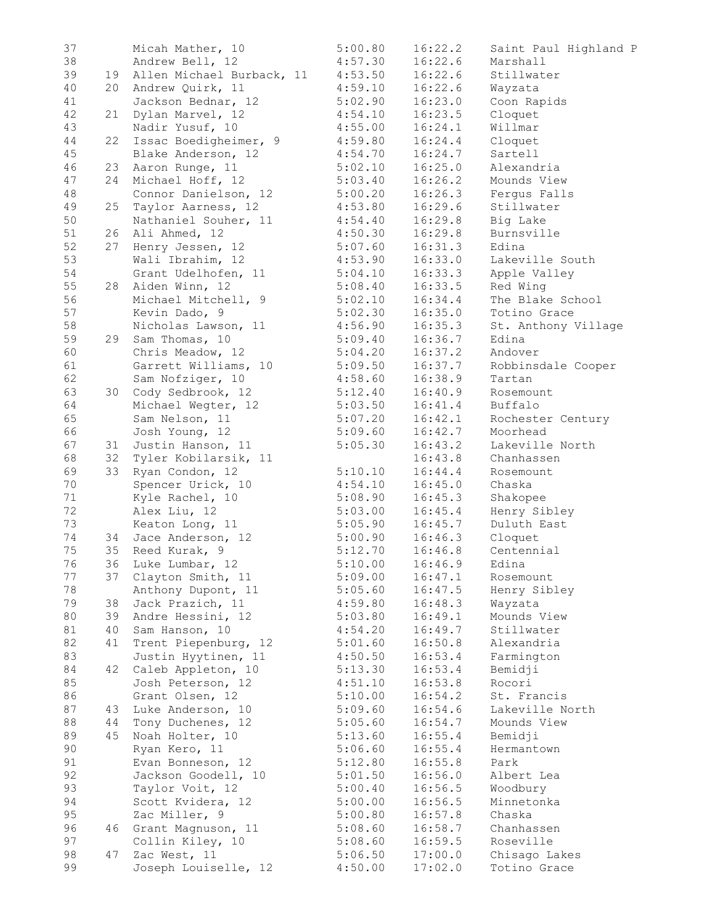| 37 |    | Micah Mather, 10                     | 5:00.80 | 16:22.2 | Saint Paul Highland P |
|----|----|--------------------------------------|---------|---------|-----------------------|
| 38 |    | Andrew Bell, 12                      | 4:57.30 | 16:22.6 | Marshall              |
| 39 |    | 19 Allen Michael Burback, 11 4:53.50 |         | 16:22.6 | Stillwater            |
| 40 |    | 20 Andrew Quirk, 11                  | 4:59.10 | 16:22.6 | Wayzata               |
| 41 |    | Jackson Bednar, 12                   | 5:02.90 | 16:23.0 | Coon Rapids           |
| 42 | 21 | Dylan Marvel, 12                     | 4:54.10 | 16:23.5 | Cloquet               |
| 43 |    | Nadir Yusuf, 10                      | 4:55.00 | 16:24.1 | Willmar               |
| 44 | 22 |                                      |         |         |                       |
|    |    | Issac Boedigheimer, 9                | 4:59.80 | 16:24.4 | Cloquet               |
| 45 |    | Blake Anderson, 12                   | 4:54.70 | 16:24.7 | Sartell               |
| 46 | 23 | Aaron Runge, 11                      | 5:02.10 | 16:25.0 | Alexandria            |
| 47 | 24 | Michael Hoff, 12                     | 5:03.40 | 16:26.2 | Mounds View           |
| 48 |    | Connor Danielson, 12                 | 5:00.20 | 16:26.3 | Ferqus Falls          |
| 49 | 25 | Taylor Aarness, 12                   | 4:53.80 | 16:29.6 | Stillwater            |
| 50 |    | Nathaniel Souher, 11                 | 4:54.40 | 16:29.8 | Big Lake              |
| 51 |    | 26 Ali Ahmed, 12                     | 4:50.30 | 16:29.8 | Burnsville            |
| 52 | 27 | Henry Jessen, 12                     | 5:07.60 | 16:31.3 | Edina                 |
| 53 |    | Wali Ibrahim, 12                     | 4:53.90 | 16:33.0 | Lakeville South       |
| 54 |    | Grant Udelhofen, 11                  | 5:04.10 | 16:33.3 | Apple Valley          |
| 55 |    | 28 Aiden Winn, 12                    | 5:08.40 | 16:33.5 | Red Wing              |
| 56 |    | Michael Mitchell, 9                  | 5:02.10 | 16:34.4 | The Blake School      |
|    |    |                                      |         |         |                       |
| 57 |    | Kevin Dado, 9                        | 5:02.30 | 16:35.0 | Totino Grace          |
| 58 |    | Nicholas Lawson, 11                  | 4:56.90 | 16:35.3 | St. Anthony Village   |
| 59 |    | 29 Sam Thomas, 10                    | 5:09.40 | 16:36.7 | Edina                 |
| 60 |    | Chris Meadow, 12                     | 5:04.20 | 16:37.2 | Andover               |
| 61 |    | Garrett Williams, 10                 | 5:09.50 | 16:37.7 | Robbinsdale Cooper    |
| 62 |    | Sam Nofziger, 10                     | 4:58.60 | 16:38.9 | Tartan                |
| 63 |    | 30 Cody Sedbrook, 12                 | 5:12.40 | 16:40.9 | Rosemount             |
| 64 |    | Michael Wegter, 12                   | 5:03.50 | 16:41.4 | Buffalo               |
| 65 |    | Sam Nelson, 11                       | 5:07.20 | 16:42.1 | Rochester Century     |
| 66 |    | Josh Young, 12                       | 5:09.60 | 16:42.7 | Moorhead              |
| 67 | 31 | Justin Hanson, 11                    | 5:05.30 | 16:43.2 | Lakeville North       |
| 68 | 32 | Tyler Kobilarsik, 11                 |         | 16:43.8 | Chanhassen            |
| 69 | 33 | Ryan Condon, 12                      |         | 16:44.4 | Rosemount             |
|    |    |                                      | 5:10.10 |         |                       |
| 70 |    | Spencer Urick, 10                    | 4:54.10 | 16:45.0 | Chaska                |
| 71 |    | Kyle Rachel, 10                      | 5:08.90 | 16:45.3 | Shakopee              |
| 72 |    | Alex Liu, 12                         | 5:03.00 | 16:45.4 | Henry Sibley          |
| 73 |    | Keaton Long, 11                      | 5:05.90 | 16:45.7 | Duluth East           |
| 74 |    | 34 Jace Anderson, 12                 | 5:00.90 | 16:46.3 | Cloquet               |
| 75 |    | 35 Reed Kurak, 9                     | 5:12.70 | 16:46.8 | Centennial            |
| 76 |    | 36 Luke Lumbar, 12                   | 5:10.00 | 16:46.9 | Edina                 |
| 77 |    | 37 Clayton Smith, 11                 | 5:09.00 | 16:47.1 | Rosemount             |
| 78 |    | Anthony Dupont, 11                   | 5:05.60 | 16:47.5 | Henry Sibley          |
| 79 | 38 | Jack Prazich, 11                     | 4:59.80 | 16:48.3 | Wayzata               |
| 80 | 39 | Andre Hessini, 12                    | 5:03.80 | 16:49.1 | Mounds View           |
| 81 | 40 | Sam Hanson, 10                       | 4:54.20 | 16:49.7 | Stillwater            |
| 82 | 41 | Trent Piepenburg, 12                 | 5:01.60 | 16:50.8 | Alexandria            |
|    |    |                                      |         |         |                       |
| 83 |    | Justin Hyytinen, 11                  | 4:50.50 | 16:53.4 | Farmington            |
| 84 | 42 | Caleb Appleton, 10                   | 5:13.30 | 16:53.4 | Bemidji               |
| 85 |    | Josh Peterson, 12                    | 4:51.10 | 16:53.8 | Rocori                |
| 86 |    | Grant Olsen, 12                      | 5:10.00 | 16:54.2 | St. Francis           |
| 87 | 43 | Luke Anderson, 10                    | 5:09.60 | 16:54.6 | Lakeville North       |
| 88 | 44 | Tony Duchenes, 12                    | 5:05.60 | 16:54.7 | Mounds View           |
| 89 | 45 | Noah Holter, 10                      | 5:13.60 | 16:55.4 | Bemidji               |
| 90 |    | Ryan Kero, 11                        | 5:06.60 | 16:55.4 | Hermantown            |
| 91 |    | Evan Bonneson, 12                    | 5:12.80 | 16:55.8 | Park                  |
| 92 |    | Jackson Goodell, 10                  | 5:01.50 | 16:56.0 | Albert Lea            |
| 93 |    | Taylor Voit, 12                      | 5:00.40 | 16:56.5 | Woodbury              |
|    |    |                                      |         |         |                       |
| 94 |    | Scott Kvidera, 12                    | 5:00.00 | 16:56.5 | Minnetonka            |
| 95 |    | Zac Miller, 9                        | 5:00.80 | 16:57.8 | Chaska                |
| 96 | 46 | Grant Magnuson, 11                   | 5:08.60 | 16:58.7 | Chanhassen            |
| 97 |    | Collin Kiley, 10                     | 5:08.60 | 16:59.5 | Roseville             |
| 98 | 47 | Zac West, 11                         | 5:06.50 | 17:00.0 | Chisago Lakes         |
| 99 |    | Joseph Louiselle, 12                 | 4:50.00 | 17:02.0 | Totino Grace          |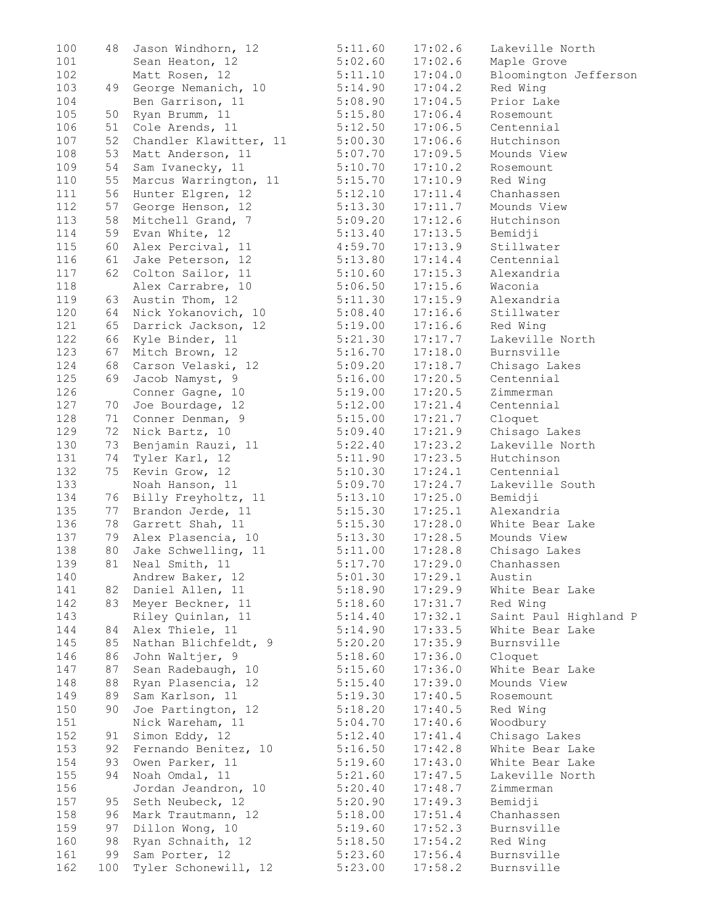| 100 | 48  | Jason Windhorn, 12                      | 5:11.60            | 17:02.6 | Lakeville North       |
|-----|-----|-----------------------------------------|--------------------|---------|-----------------------|
| 101 |     | Sean Heaton, 12                         | 5:02.60            | 17:02.6 | Maple Grove           |
| 102 |     | Matt Rosen, 12                          | 5:11.10            | 17:04.0 | Bloomington Jefferson |
| 103 | 49  | George Nemanich, 10                     | 5:14.90            | 17:04.2 | Red Wing              |
| 104 |     | Ben Garrison, 11                        | 5:08.90            | 17:04.5 | Prior Lake            |
| 105 | 50  | Ryan Brumm, 11                          | 5:15.80            | 17:06.4 | Rosemount             |
| 106 | 51  | Cole Arends, 11                         | 5:12.50            | 17:06.5 | Centennial            |
| 107 | 52  | Chandler Klawitter, 11                  | 5:00.30            | 17:06.6 | Hutchinson            |
| 108 | 53  | Matt Anderson, 11                       | 5:07.70            | 17:09.5 | Mounds View           |
| 109 | 54  | Sam Ivanecky, 11                        | 5:10.70            | 17:10.2 | Rosemount             |
| 110 | 55  | Marcus Warrington, 11                   | 5:15.70            | 17:10.9 | Red Wing              |
| 111 | 56  | Hunter Elgren, 12                       | 5:12.10            | 17:11.4 | Chanhassen            |
| 112 | 57  | George Henson, 12                       | 5:13.30            | 17:11.7 | Mounds View           |
| 113 | 58  | Mitchell Grand, 7                       | 5:09.20            | 17:12.6 | Hutchinson            |
| 114 | 59  | Evan White, 12                          | 5:13.40            | 17:13.5 | Bemidji               |
| 115 | 60  |                                         |                    |         | Stillwater            |
|     |     | Alex Percival, 11                       | 4:59.70            | 17:13.9 |                       |
| 116 | 61  | Jake Peterson, 12                       | 5:13.80            | 17:14.4 | Centennial            |
| 117 | 62  | Colton Sailor, 11                       | 5:10.60            | 17:15.3 | Alexandria            |
| 118 |     | Alex Carrabre, 10                       | 5:06.50            | 17:15.6 | Waconia               |
| 119 | 63  | Austin Thom, 12                         | 5:11.30            | 17:15.9 | Alexandria            |
| 120 | 64  | Nick Yokanovich, 10                     | 5:08.40            | 17:16.6 | Stillwater            |
| 121 | 65  | Darrick Jackson, 12                     | 5:19.00            | 17:16.6 | Red Wing              |
| 122 | 66  | Kyle Binder, 11                         | 5:21.30            | 17:17.7 | Lakeville North       |
| 123 | 67  | Mitch Brown, 12                         | 5:16.70            | 17:18.0 | Burnsville            |
| 124 | 68  | Carson Velaski, 12                      | 5:09.20            | 17:18.7 | Chisago Lakes         |
| 125 | 69  | Jacob Namyst, 9                         | 5:16.00            | 17:20.5 | Centennial            |
| 126 |     | Conner Gagne, 10                        | 5:19.00            | 17:20.5 | Zimmerman             |
| 127 | 70  | Joe Bourdage, 12                        | 5:12.00            | 17:21.4 | Centennial            |
| 128 | 71  | Conner Denman, 9                        | 5:15.00            | 17:21.7 | Cloquet               |
| 129 | 72  | Nick Bartz, 10                          | 5:09.40            | 17:21.9 | Chisago Lakes         |
| 130 | 73  | Benjamin Rauzi, 11                      | 5:22.40            | 17:23.2 | Lakeville North       |
| 131 | 74  | Tyler Karl, 12                          | 5:11.90            | 17:23.5 | Hutchinson            |
| 132 | 75  | Kevin Grow, 12                          | 5:10.30            | 17:24.1 | Centennial            |
| 133 |     | Noah Hanson, 11                         | 5:09.70            | 17:24.7 | Lakeville South       |
|     |     | 76 Billy Freyholtz, 11                  |                    |         | Bemidji               |
| 134 |     |                                         | 5:13.10            | 17:25.0 |                       |
| 135 |     | 77 Brandon Jerde, 11                    | 5:15.30            | 17:25.1 | Alexandria            |
| 136 | 78  | Garrett Shah, 11                        | 5:15.30            | 17:28.0 | White Bear Lake       |
| 137 | 79  | Alex Plasencia, 10                      | 5:13.30            | 17:28.5 | Mounds View           |
| 138 | 80  | Jake Schwelling, 11                     | 5:11.00            | 17:28.8 | Chisago Lakes         |
| 139 |     | 81 Neal Smith, 11                       | 5:17.70            | 17:29.0 | Chanhassen            |
| 140 |     | Andrew Baker, 12                        | 5:01.30            | 17:29.1 | Austin                |
| 141 |     | 82 Daniel Allen, 11                     | 5:18.90            | 17:29.9 | White Bear Lake       |
| 142 |     | 83 Meyer Beckner, 11                    | 5:18.60            | 17:31.7 | Red Wing              |
| 143 |     | Riley Quinlan, 11                       | 5:14.40            | 17:32.1 | Saint Paul Highland P |
| 144 | 84  | Alex Thiele, 11                         | 5:14.90            | 17:33.5 | White Bear Lake       |
| 145 | 85  | Nathan Blichfeldt, 9                    | 5:20.20            | 17:35.9 | Burnsville            |
| 146 | 86  | John Waltjer, 9                         | 5:18.60            | 17:36.0 | Cloquet               |
| 147 | 87  | Sean Radebaugh, 10                      | 5:15.60            | 17:36.0 | White Bear Lake       |
| 148 | 88  | Ryan Plasencia, 12                      | 5:15.40            | 17:39.0 | Mounds View           |
| 149 | 89  | Sam Karlson, 11                         | 5:19.30            | 17:40.5 | Rosemount             |
| 150 | 90  | Joe Partington, 12                      | 5:18.20            | 17:40.5 | Red Wing              |
| 151 |     | Nick Wareham, 11                        | 5:04.70            | 17:40.6 | Woodbury              |
| 152 | 91  | Simon Eddy, 12                          | 5:12.40            | 17:41.4 | Chisago Lakes         |
| 153 |     |                                         |                    |         | White Bear Lake       |
| 154 | 92  | Fernando Benitez, 10<br>Owen Parker, 11 | 5:16.50<br>5:19.60 | 17:42.8 | White Bear Lake       |
|     | 93  |                                         |                    | 17:43.0 |                       |
| 155 | 94  | Noah Omdal, 11                          | 5:21.60            | 17:47.5 | Lakeville North       |
| 156 |     | Jordan Jeandron, 10                     | 5:20.40            | 17:48.7 | Zimmerman             |
| 157 | 95  | Seth Neubeck, 12                        | 5:20.90            | 17:49.3 | Bemidji               |
| 158 | 96  | Mark Trautmann, 12                      | 5:18.00            | 17:51.4 | Chanhassen            |
| 159 | 97  | Dillon Wong, 10                         | 5:19.60            | 17:52.3 | Burnsville            |
| 160 | 98  | Ryan Schnaith, 12                       | 5:18.50            | 17:54.2 | Red Wing              |
| 161 | 99  | Sam Porter, 12                          | 5:23.60            | 17:56.4 | Burnsville            |
| 162 | 100 | Tyler Schonewill, 12                    | 5:23.00            | 17:58.2 | Burnsville            |